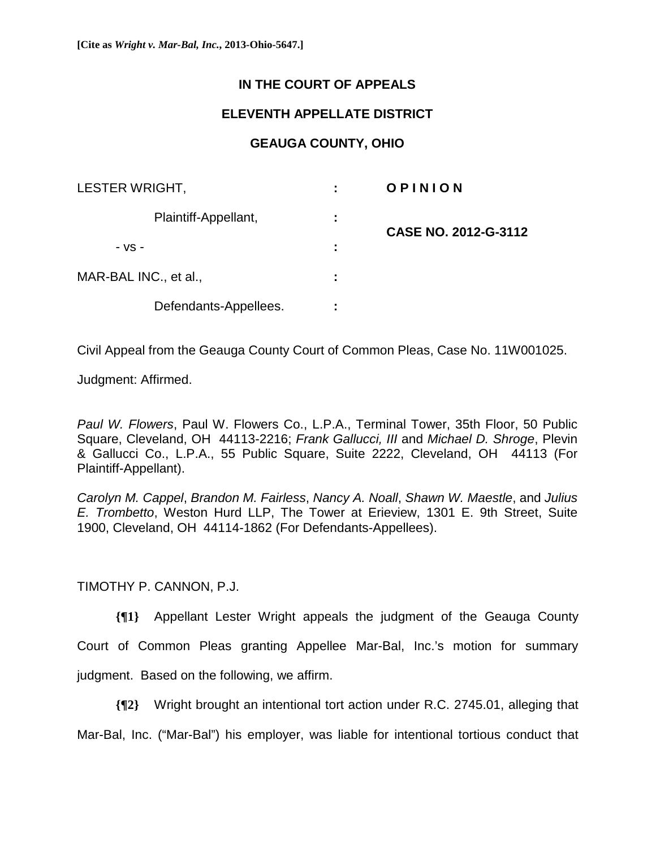## **IN THE COURT OF APPEALS**

## **ELEVENTH APPELLATE DISTRICT**

## **GEAUGA COUNTY, OHIO**

| LESTER WRIGHT,        |  | OPINION              |
|-----------------------|--|----------------------|
| Plaintiff-Appellant,  |  | CASE NO. 2012-G-3112 |
| $-VS -$               |  |                      |
| MAR-BAL INC., et al., |  |                      |
| Defendants-Appellees. |  |                      |

Civil Appeal from the Geauga County Court of Common Pleas, Case No. 11W001025.

Judgment: Affirmed.

*Paul W. Flowers*, Paul W. Flowers Co., L.P.A., Terminal Tower, 35th Floor, 50 Public Square, Cleveland, OH 44113-2216; *Frank Gallucci, III* and *Michael D. Shroge*, Plevin & Gallucci Co., L.P.A., 55 Public Square, Suite 2222, Cleveland, OH 44113 (For Plaintiff-Appellant).

*Carolyn M. Cappel*, *Brandon M. Fairless*, *Nancy A. Noall*, *Shawn W. Maestle*, and *Julius E. Trombetto*, Weston Hurd LLP, The Tower at Erieview, 1301 E. 9th Street, Suite 1900, Cleveland, OH 44114-1862 (For Defendants-Appellees).

TIMOTHY P. CANNON, P.J.

**{¶1}** Appellant Lester Wright appeals the judgment of the Geauga County Court of Common Pleas granting Appellee Mar-Bal, Inc.'s motion for summary judgment. Based on the following, we affirm.

**{¶2}** Wright brought an intentional tort action under R.C. 2745.01, alleging that Mar-Bal, Inc. ("Mar-Bal") his employer, was liable for intentional tortious conduct that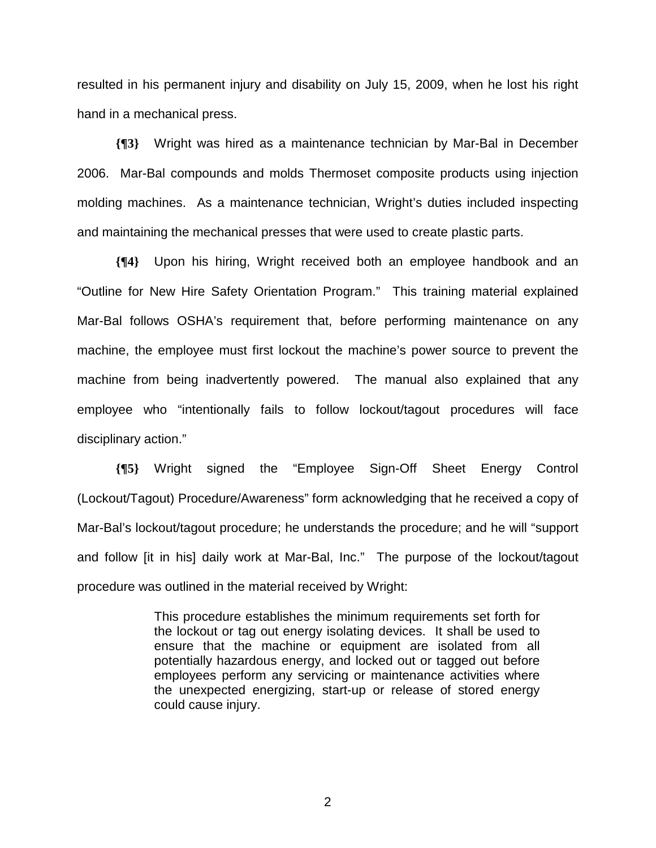resulted in his permanent injury and disability on July 15, 2009, when he lost his right hand in a mechanical press.

**{¶3}** Wright was hired as a maintenance technician by Mar-Bal in December 2006. Mar-Bal compounds and molds Thermoset composite products using injection molding machines. As a maintenance technician, Wright's duties included inspecting and maintaining the mechanical presses that were used to create plastic parts.

**{¶4}** Upon his hiring, Wright received both an employee handbook and an "Outline for New Hire Safety Orientation Program." This training material explained Mar-Bal follows OSHA's requirement that, before performing maintenance on any machine, the employee must first lockout the machine's power source to prevent the machine from being inadvertently powered. The manual also explained that any employee who "intentionally fails to follow lockout/tagout procedures will face disciplinary action."

**{¶5}** Wright signed the "Employee Sign-Off Sheet Energy Control (Lockout/Tagout) Procedure/Awareness" form acknowledging that he received a copy of Mar-Bal's lockout/tagout procedure; he understands the procedure; and he will "support and follow [it in his] daily work at Mar-Bal, Inc." The purpose of the lockout/tagout procedure was outlined in the material received by Wright:

> This procedure establishes the minimum requirements set forth for the lockout or tag out energy isolating devices. It shall be used to ensure that the machine or equipment are isolated from all potentially hazardous energy, and locked out or tagged out before employees perform any servicing or maintenance activities where the unexpected energizing, start-up or release of stored energy could cause injury.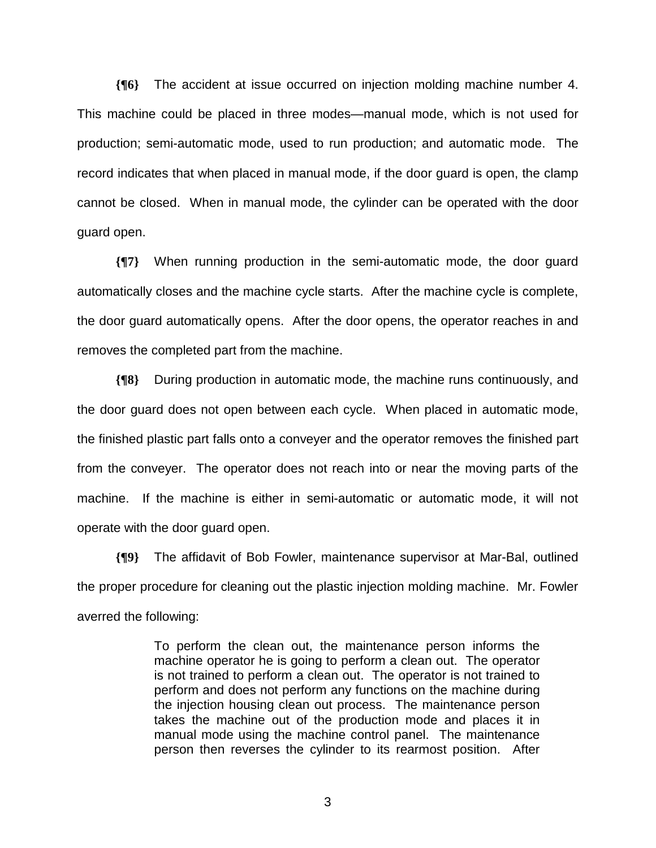**{¶6}** The accident at issue occurred on injection molding machine number 4. This machine could be placed in three modes—manual mode, which is not used for production; semi-automatic mode, used to run production; and automatic mode. The record indicates that when placed in manual mode, if the door guard is open, the clamp cannot be closed. When in manual mode, the cylinder can be operated with the door guard open.

**{¶7}** When running production in the semi-automatic mode, the door guard automatically closes and the machine cycle starts. After the machine cycle is complete, the door guard automatically opens. After the door opens, the operator reaches in and removes the completed part from the machine.

**{¶8}** During production in automatic mode, the machine runs continuously, and the door guard does not open between each cycle. When placed in automatic mode, the finished plastic part falls onto a conveyer and the operator removes the finished part from the conveyer. The operator does not reach into or near the moving parts of the machine. If the machine is either in semi-automatic or automatic mode, it will not operate with the door guard open.

**{¶9}** The affidavit of Bob Fowler, maintenance supervisor at Mar-Bal, outlined the proper procedure for cleaning out the plastic injection molding machine. Mr. Fowler averred the following:

> To perform the clean out, the maintenance person informs the machine operator he is going to perform a clean out. The operator is not trained to perform a clean out. The operator is not trained to perform and does not perform any functions on the machine during the injection housing clean out process. The maintenance person takes the machine out of the production mode and places it in manual mode using the machine control panel. The maintenance person then reverses the cylinder to its rearmost position. After

 $\sim$  3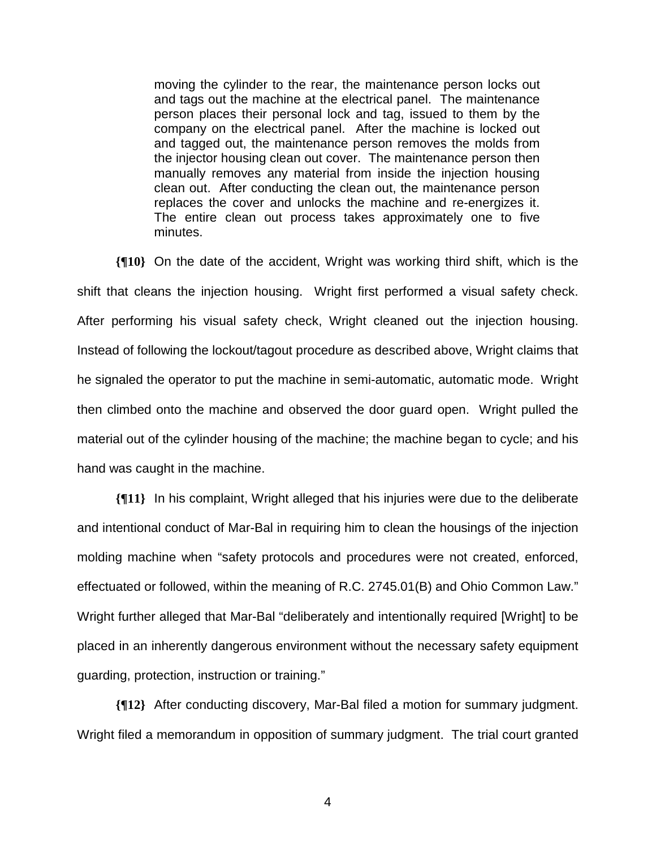moving the cylinder to the rear, the maintenance person locks out and tags out the machine at the electrical panel. The maintenance person places their personal lock and tag, issued to them by the company on the electrical panel. After the machine is locked out and tagged out, the maintenance person removes the molds from the injector housing clean out cover. The maintenance person then manually removes any material from inside the injection housing clean out. After conducting the clean out, the maintenance person replaces the cover and unlocks the machine and re-energizes it. The entire clean out process takes approximately one to five minutes.

**{¶10}** On the date of the accident, Wright was working third shift, which is the shift that cleans the injection housing. Wright first performed a visual safety check. After performing his visual safety check, Wright cleaned out the injection housing. Instead of following the lockout/tagout procedure as described above, Wright claims that he signaled the operator to put the machine in semi-automatic, automatic mode. Wright then climbed onto the machine and observed the door guard open. Wright pulled the material out of the cylinder housing of the machine; the machine began to cycle; and his hand was caught in the machine.

**{¶11}** In his complaint, Wright alleged that his injuries were due to the deliberate and intentional conduct of Mar-Bal in requiring him to clean the housings of the injection molding machine when "safety protocols and procedures were not created, enforced, effectuated or followed, within the meaning of R.C. 2745.01(B) and Ohio Common Law." Wright further alleged that Mar-Bal "deliberately and intentionally required [Wright] to be placed in an inherently dangerous environment without the necessary safety equipment guarding, protection, instruction or training."

**{¶12}** After conducting discovery, Mar-Bal filed a motion for summary judgment. Wright filed a memorandum in opposition of summary judgment. The trial court granted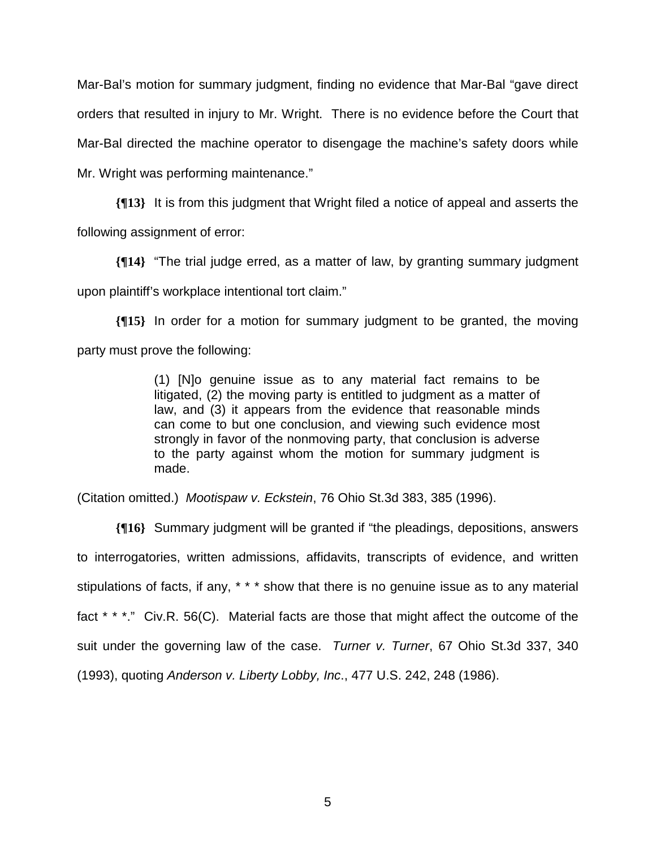Mar-Bal's motion for summary judgment, finding no evidence that Mar-Bal "gave direct orders that resulted in injury to Mr. Wright. There is no evidence before the Court that Mar-Bal directed the machine operator to disengage the machine's safety doors while Mr. Wright was performing maintenance."

**{¶13}** It is from this judgment that Wright filed a notice of appeal and asserts the following assignment of error:

**{¶14}** "The trial judge erred, as a matter of law, by granting summary judgment upon plaintiff's workplace intentional tort claim."

**{¶15}** In order for a motion for summary judgment to be granted, the moving party must prove the following:

> (1) [N]o genuine issue as to any material fact remains to be litigated, (2) the moving party is entitled to judgment as a matter of law, and (3) it appears from the evidence that reasonable minds can come to but one conclusion, and viewing such evidence most strongly in favor of the nonmoving party, that conclusion is adverse to the party against whom the motion for summary judgment is made.

(Citation omitted.) *Mootispaw v. Eckstein*, 76 Ohio St.3d 383, 385 (1996).

**{¶16}** Summary judgment will be granted if "the pleadings, depositions, answers to interrogatories, written admissions, affidavits, transcripts of evidence, and written stipulations of facts, if any, \* \* \* show that there is no genuine issue as to any material fact \* \* \*." Civ.R. 56(C). Material facts are those that might affect the outcome of the suit under the governing law of the case. *Turner v. Turner*, 67 Ohio St.3d 337, 340 (1993), quoting *Anderson v. Liberty Lobby, Inc*., 477 U.S. 242, 248 (1986).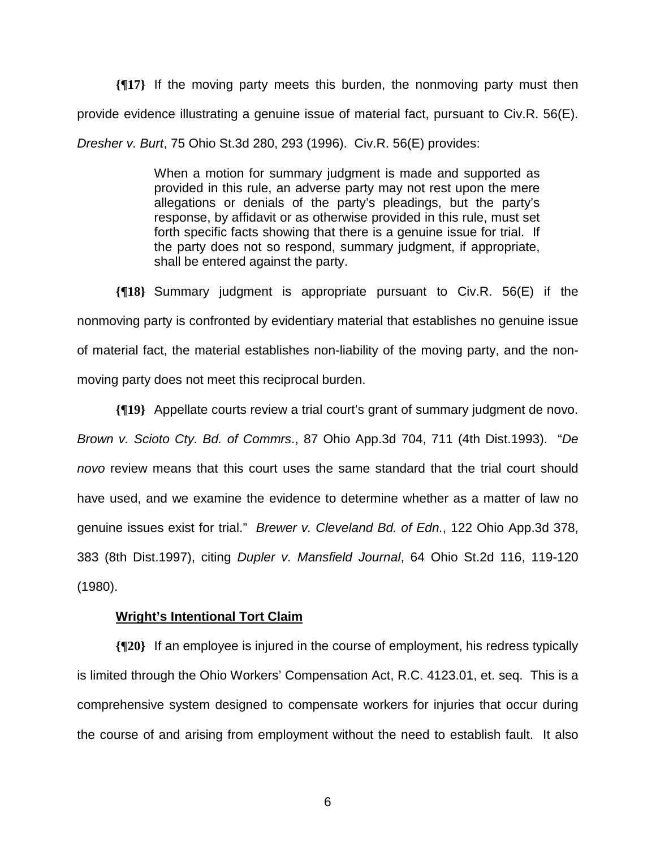**{¶17}** If the moving party meets this burden, the nonmoving party must then provide evidence illustrating a genuine issue of material fact, pursuant to Civ.R. 56(E). *Dresher v. Burt*, 75 Ohio St.3d 280, 293 (1996). Civ.R. 56(E) provides:

> When a motion for summary judgment is made and supported as provided in this rule, an adverse party may not rest upon the mere allegations or denials of the party's pleadings, but the party's response, by affidavit or as otherwise provided in this rule, must set forth specific facts showing that there is a genuine issue for trial. If the party does not so respond, summary judgment, if appropriate, shall be entered against the party.

**{¶18}** Summary judgment is appropriate pursuant to Civ.R. 56(E) if the nonmoving party is confronted by evidentiary material that establishes no genuine issue of material fact, the material establishes non-liability of the moving party, and the nonmoving party does not meet this reciprocal burden.

**{¶19}** Appellate courts review a trial court's grant of summary judgment de novo. *Brown v. Scioto Cty. Bd. of Commrs*., 87 Ohio App.3d 704, 711 (4th Dist.1993). "*De novo* review means that this court uses the same standard that the trial court should have used, and we examine the evidence to determine whether as a matter of law no genuine issues exist for trial." *Brewer v. Cleveland Bd. of Edn.*, 122 Ohio App.3d 378, 383 (8th Dist.1997), citing *Dupler v. Mansfield Journal*, 64 Ohio St.2d 116, 119-120 (1980).

## **Wright's Intentional Tort Claim**

**{¶20}** If an employee is injured in the course of employment, his redress typically is limited through the Ohio Workers' Compensation Act, R.C. 4123.01, et. seq. This is a comprehensive system designed to compensate workers for injuries that occur during the course of and arising from employment without the need to establish fault. It also

 $\sim$  600  $\sim$  600  $\sim$  600  $\sim$  600  $\sim$  600  $\sim$  600  $\sim$  600  $\sim$  600  $\sim$  600  $\sim$  600  $\sim$  600  $\sim$  600  $\sim$  600  $\sim$  600  $\sim$  600  $\sim$  600  $\sim$  600  $\sim$  600  $\sim$  600  $\sim$  600  $\sim$  600  $\sim$  600  $\sim$  600  $\sim$  600  $\sim$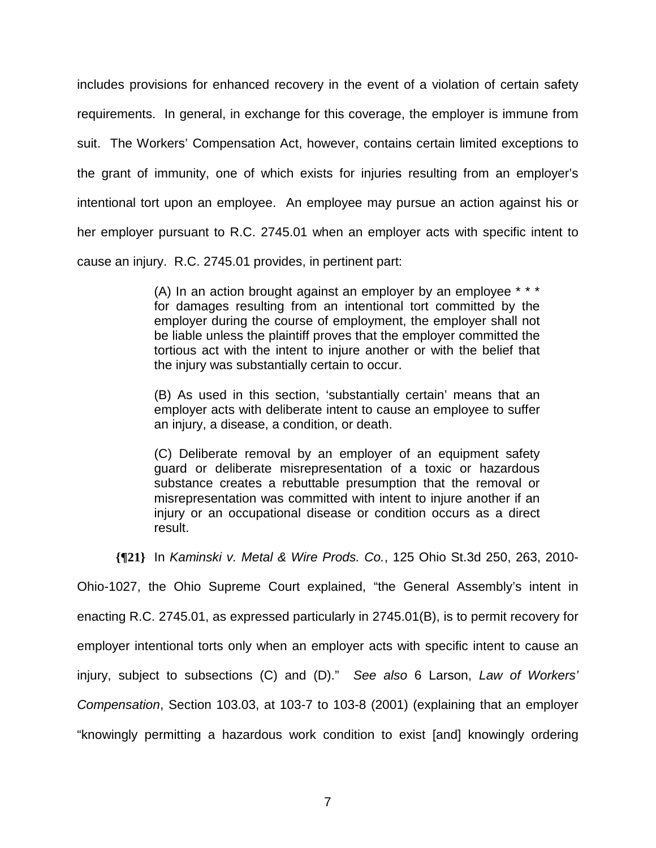includes provisions for enhanced recovery in the event of a violation of certain safety requirements. In general, in exchange for this coverage, the employer is immune from suit. The Workers' Compensation Act, however, contains certain limited exceptions to the grant of immunity, one of which exists for injuries resulting from an employer's intentional tort upon an employee. An employee may pursue an action against his or her employer pursuant to R.C. 2745.01 when an employer acts with specific intent to cause an injury. R.C. 2745.01 provides, in pertinent part:

> (A) In an action brought against an employer by an employee \* \* \* for damages resulting from an intentional tort committed by the employer during the course of employment, the employer shall not be liable unless the plaintiff proves that the employer committed the tortious act with the intent to injure another or with the belief that the injury was substantially certain to occur.

> (B) As used in this section, 'substantially certain' means that an employer acts with deliberate intent to cause an employee to suffer an injury, a disease, a condition, or death.

> (C) Deliberate removal by an employer of an equipment safety guard or deliberate misrepresentation of a toxic or hazardous substance creates a rebuttable presumption that the removal or misrepresentation was committed with intent to injure another if an injury or an occupational disease or condition occurs as a direct result.

**{¶21}** In *Kaminski v. Metal & Wire Prods. Co.*, 125 Ohio St.3d 250, 263, 2010-

Ohio-1027, the Ohio Supreme Court explained, "the General Assembly's intent in enacting R.C. 2745.01, as expressed particularly in 2745.01(B), is to permit recovery for employer intentional torts only when an employer acts with specific intent to cause an injury, subject to subsections (C) and (D)." *See also* 6 Larson, *Law of Workers' Compensation*, Section 103.03, at 103-7 to 103-8 (2001) (explaining that an employer "knowingly permitting a hazardous work condition to exist [and] knowingly ordering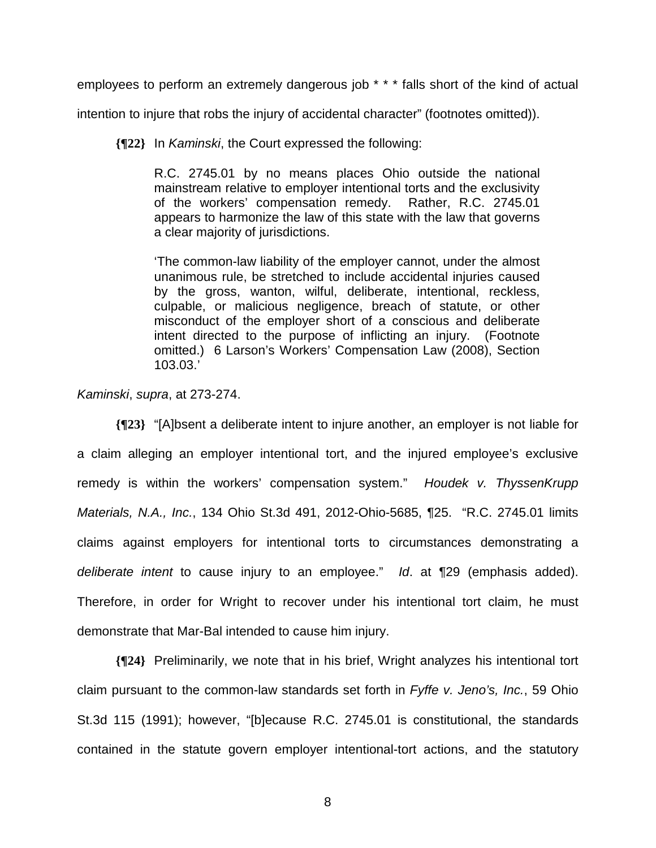employees to perform an extremely dangerous job \* \* \* falls short of the kind of actual

intention to injure that robs the injury of accidental character" (footnotes omitted)).

**{¶22}** In *Kaminski*, the Court expressed the following:

R.C. 2745.01 by no means places Ohio outside the national mainstream relative to employer intentional torts and the exclusivity of the workers' compensation remedy. Rather, R.C. 2745.01 appears to harmonize the law of this state with the law that governs a clear majority of jurisdictions.

'The common-law liability of the employer cannot, under the almost unanimous rule, be stretched to include accidental injuries caused by the gross, wanton, wilful, deliberate, intentional, reckless, culpable, or malicious negligence, breach of statute, or other misconduct of the employer short of a conscious and deliberate intent directed to the purpose of inflicting an injury. (Footnote omitted.) 6 Larson's Workers' Compensation Law (2008), Section 103.03.'

*Kaminski*, *supra*, at 273-274.

**{¶23}** "[A]bsent a deliberate intent to injure another, an employer is not liable for a claim alleging an employer intentional tort, and the injured employee's exclusive remedy is within the workers' compensation system." *Houdek v. ThyssenKrupp Materials, N.A., Inc.*, 134 Ohio St.3d 491, 2012-Ohio-5685, ¶25. "R.C. 2745.01 limits claims against employers for intentional torts to circumstances demonstrating a *deliberate intent* to cause injury to an employee." *Id*. at ¶29 (emphasis added). Therefore, in order for Wright to recover under his intentional tort claim, he must demonstrate that Mar-Bal intended to cause him injury.

**{¶24}** Preliminarily, we note that in his brief, Wright analyzes his intentional tort claim pursuant to the common-law standards set forth in *Fyffe v. Jeno's, Inc.*, 59 Ohio St.3d 115 (1991); however, "[b]ecause R.C. 2745.01 is constitutional, the standards contained in the statute govern employer intentional-tort actions, and the statutory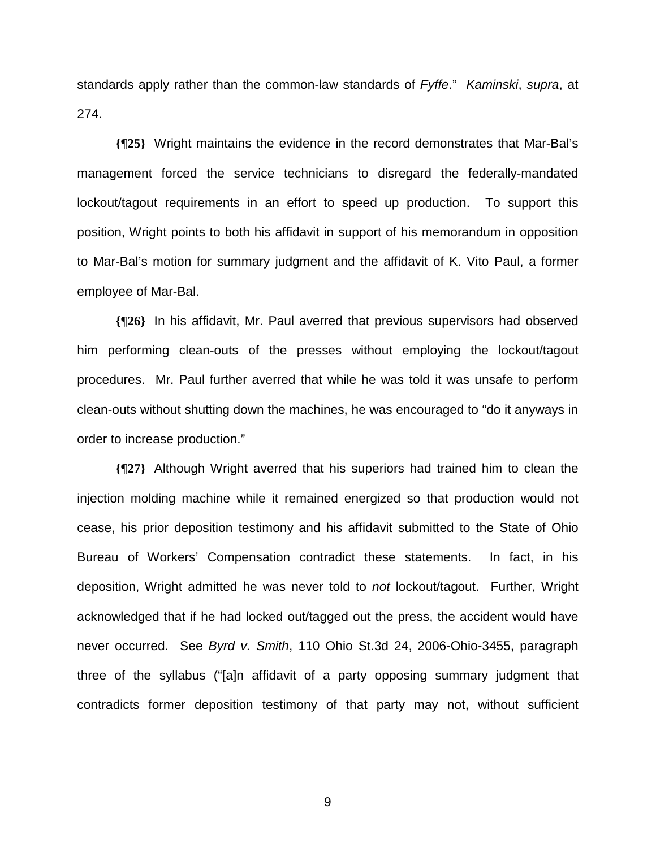standards apply rather than the common-law standards of *Fyffe*." *Kaminski*, *supra*, at 274.

**{¶25}** Wright maintains the evidence in the record demonstrates that Mar-Bal's management forced the service technicians to disregard the federally-mandated lockout/tagout requirements in an effort to speed up production. To support this position, Wright points to both his affidavit in support of his memorandum in opposition to Mar-Bal's motion for summary judgment and the affidavit of K. Vito Paul, a former employee of Mar-Bal.

**{¶26}** In his affidavit, Mr. Paul averred that previous supervisors had observed him performing clean-outs of the presses without employing the lockout/tagout procedures. Mr. Paul further averred that while he was told it was unsafe to perform clean-outs without shutting down the machines, he was encouraged to "do it anyways in order to increase production."

**{¶27}** Although Wright averred that his superiors had trained him to clean the injection molding machine while it remained energized so that production would not cease, his prior deposition testimony and his affidavit submitted to the State of Ohio Bureau of Workers' Compensation contradict these statements. In fact, in his deposition, Wright admitted he was never told to *not* lockout/tagout. Further, Wright acknowledged that if he had locked out/tagged out the press, the accident would have never occurred. See *Byrd v. Smith*, 110 Ohio St.3d 24, 2006-Ohio-3455, paragraph three of the syllabus ("[a]n affidavit of a party opposing summary judgment that contradicts former deposition testimony of that party may not, without sufficient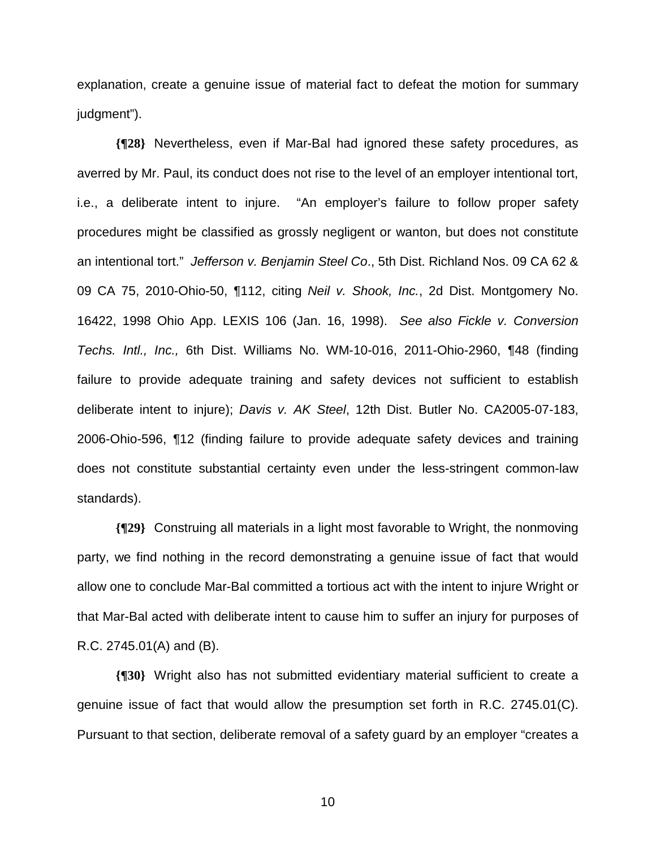explanation, create a genuine issue of material fact to defeat the motion for summary judgment").

**{¶28}** Nevertheless, even if Mar-Bal had ignored these safety procedures, as averred by Mr. Paul, its conduct does not rise to the level of an employer intentional tort, i.e., a deliberate intent to injure. "An employer's failure to follow proper safety procedures might be classified as grossly negligent or wanton, but does not constitute an intentional tort." *Jefferson v. Benjamin Steel Co*., 5th Dist. Richland Nos. 09 CA 62 & 09 CA 75, 2010-Ohio-50, ¶112, citing *Neil v. Shook, Inc.*, 2d Dist. Montgomery No. 16422, 1998 Ohio App. LEXIS 106 (Jan. 16, 1998). *See also Fickle v. Conversion Techs. Intl., Inc.,* 6th Dist. Williams No. WM-10-016, 2011-Ohio-2960, ¶48 (finding failure to provide adequate training and safety devices not sufficient to establish deliberate intent to injure); *Davis v. AK Steel*, 12th Dist. Butler No. CA2005-07-183, 2006-Ohio-596, ¶12 (finding failure to provide adequate safety devices and training does not constitute substantial certainty even under the less-stringent common-law standards).

**{¶29}** Construing all materials in a light most favorable to Wright, the nonmoving party, we find nothing in the record demonstrating a genuine issue of fact that would allow one to conclude Mar-Bal committed a tortious act with the intent to injure Wright or that Mar-Bal acted with deliberate intent to cause him to suffer an injury for purposes of R.C. 2745.01(A) and (B).

**{¶30}** Wright also has not submitted evidentiary material sufficient to create a genuine issue of fact that would allow the presumption set forth in R.C. 2745.01(C). Pursuant to that section, deliberate removal of a safety guard by an employer "creates a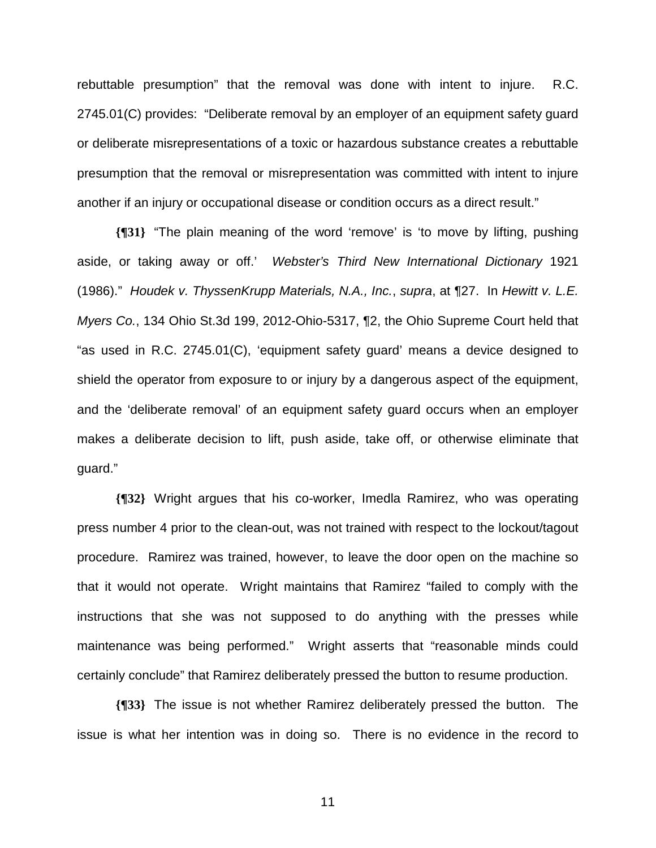rebuttable presumption" that the removal was done with intent to injure. R.C. 2745.01(C) provides: "Deliberate removal by an employer of an equipment safety guard or deliberate misrepresentations of a toxic or hazardous substance creates a rebuttable presumption that the removal or misrepresentation was committed with intent to injure another if an injury or occupational disease or condition occurs as a direct result."

**{¶31}** "The plain meaning of the word 'remove' is 'to move by lifting, pushing aside, or taking away or off.' *Webster's Third New International Dictionary* 1921 (1986)." *Houdek v. ThyssenKrupp Materials, N.A., Inc.*, *supra*, at ¶27. In *Hewitt v. L.E. Myers Co.*, 134 Ohio St.3d 199, 2012-Ohio-5317, ¶2, the Ohio Supreme Court held that "as used in R.C. 2745.01(C), 'equipment safety guard' means a device designed to shield the operator from exposure to or injury by a dangerous aspect of the equipment, and the 'deliberate removal' of an equipment safety guard occurs when an employer makes a deliberate decision to lift, push aside, take off, or otherwise eliminate that guard."

**{¶32}** Wright argues that his co-worker, Imedla Ramirez, who was operating press number 4 prior to the clean-out, was not trained with respect to the lockout/tagout procedure. Ramirez was trained, however, to leave the door open on the machine so that it would not operate. Wright maintains that Ramirez "failed to comply with the instructions that she was not supposed to do anything with the presses while maintenance was being performed." Wright asserts that "reasonable minds could certainly conclude" that Ramirez deliberately pressed the button to resume production.

**{¶33}** The issue is not whether Ramirez deliberately pressed the button. The issue is what her intention was in doing so. There is no evidence in the record to